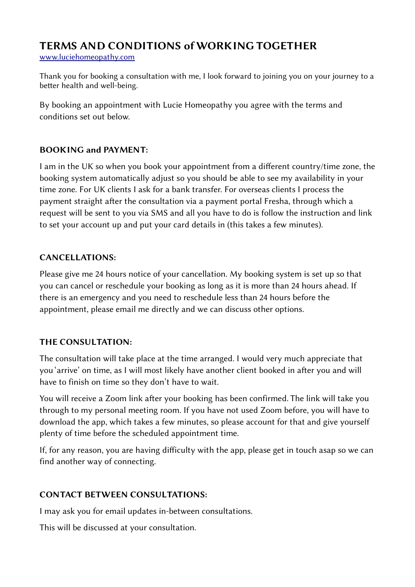# TERMS AND CONDITIONS of WORKING TOGETHER

[www.luciehomeopathy.com](http://www.luciehomeopathy.com/)

Thank you for booking a consultation with me, I look forward to joining you on your journey to a better health and well-being.

By booking an appointment with Lucie Homeopathy you agree with the terms and conditions set out below.

## BOOKING and PAYMENT:

I am in the UK so when you book your appointment from a different country/time zone, the booking system automatically adjust so you should be able to see my availability in your time zone. For UK clients I ask for a bank transfer. For overseas clients I process the payment straight after the consultation via a payment portal Fresha, through which a request will be sent to you via SMS and all you have to do is follow the instruction and link to set your account up and put your card details in (this takes a few minutes).

## CANCELLATIONS:

Please give me 24 hours notice of your cancellation. My booking system is set up so that you can cancel or reschedule your booking as long as it is more than 24 hours ahead. If there is an emergency and you need to reschedule less than 24 hours before the appointment, please email me directly and we can discuss other options.

#### THE CONSULTATION:

The consultation will take place at the time arranged. I would very much appreciate that you 'arrive' on time, as I will most likely have another client booked in after you and will have to finish on time so they don't have to wait.

You will receive a Zoom link after your booking has been confirmed. The link will take you through to my personal meeting room. If you have not used Zoom before, you will have to download the app, which takes a few minutes, so please account for that and give yourself plenty of time before the scheduled appointment time.

If, for any reason, you are having difficulty with the app, please get in touch asap so we can find another way of connecting.

# CONTACT BETWEEN CONSULTATIONS:

I may ask you for email updates in-between consultations.

This will be discussed at your consultation.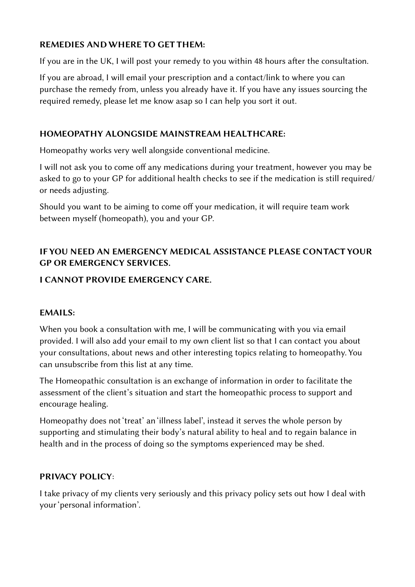#### REMEDIES AND WHERE TO GET THEM:

If you are in the UK, I will post your remedy to you within 48 hours after the consultation.

If you are abroad, I will email your prescription and a contact/link to where you can purchase the remedy from, unless you already have it. If you have any issues sourcing the required remedy, please let me know asap so I can help you sort it out.

#### HOMEOPATHY ALONGSIDE MAINSTREAM HEALTHCARE:

Homeopathy works very well alongside conventional medicine.

I will not ask you to come off any medications during your treatment, however you may be asked to go to your GP for additional health checks to see if the medication is still required/ or needs adjusting.

Should you want to be aiming to come off your medication, it will require team work between myself (homeopath), you and your GP.

# IF YOU NEED AN EMERGENCY MEDICAL ASSISTANCE PLEASE CONTACT YOUR GP OR EMERGENCY SERVICES.

## I CANNOT PROVIDE EMERGENCY CARE.

#### EMAILS:

When you book a consultation with me, I will be communicating with you via email provided. I will also add your email to my own client list so that I can contact you about your consultations, about news and other interesting topics relating to homeopathy. You can unsubscribe from this list at any time.

The Homeopathic consultation is an exchange of information in order to facilitate the assessment of the client's situation and start the homeopathic process to support and encourage healing.

Homeopathy does not 'treat' an 'illness label', instead it serves the whole person by supporting and stimulating their body's natural ability to heal and to regain balance in health and in the process of doing so the symptoms experienced may be shed.

#### PRIVACY POLICY:

I take privacy of my clients very seriously and this privacy policy sets out how I deal with your 'personal information'.